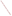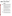United States **Pesticides And** 738-F-91-110<br>
Environmental Protection **Toxic Substances** May 1991 Environmental Protection Agency (7508W)

# **R.E.D. FACTS**

# **Sulfur**

## **Pesticide Reregistration**

 $EFA$ 

All pesticides sold or used in the United States must be registered by EPA, based on scientific studies showing that they can be used without posing unreasonable risks to people or the environment. Because of advances in scientific knowledge, the law requires that pesticides which were first registered years ago be reregistered to ensure that they meet today's more stringent standards.

In evaluating pesticides for reregistration, EPA obtains from pesticide producers and reviews a complete set of studies showing the human health and environmental effects of each pesticide. The Agency imposes any regulatory controls that are needed to effectively manage each pesticide's risks. EPA then reregisters pesticides that can be used without posing undue hazards to human health or the environment.

When a pesticide is eligible for reregistration, EPA announces this and explains why in a Reregistration Eligibility Document, or RED. This fact sheet summarizes the information in the RED for sulfur.

**Sulfur** The element sulfur is a ubiquitous, natural component of the environment. Currently, sulfur is registered by EPA for use as an insecticide, fungicide and rodenticide on several hundred food and feed crop, ornamental, turf and residential sites. It is also used as a fertilizer or soil amendment for reclaiming alkaline soils. Sulfur is applied in dust, granular or liquid form, and is an active ingredient in nearly 300 registered pesticide products. All registered uses of sulfur are eligible for reregistration.

# **Regulatory History**

Sulfur has been known and used as a pesticide since very early times, and has been registered for pesticidal use in the United States since the 1920s. EPA issued a Registration Standard for sulfur in December 1982. The only data requirement imposed at that time was a proposal for crop reentry intervals. No additional generic data have been required since then.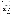# **Health Effects**

All of EPA's toxicology data requirements for sulfur have been satisfied for a number of years. Sulfur is known to be of low toxicity, and poses very little if any risk to human health.

#### **Acute Effects**

Short-term studies show that sulfur is of very low acute oral toxicity and does not irritate the skin (it has been placed in Toxicity Category IV, the least toxic category, for these effects). Sulfur also is not a skin sensitizer. However, sulfur can cause some eye irritation, dermal toxicity and inhalation hazards (it has been placed in Toxicity Category III for these effects).

#### **Chronic Effects**

Chronic exposure to elemental sulfur at low levels is generally recognized as safe. Epidemiological studies show that mine workers exposed to sulfur dust and sulfur dioxide throughout their lives often had eye and respiratory disturbances, chronic bronchitis and chronic sinus effects. However, no known risks of oncogenic, teratogenic, or reproductive effects are associated with the use of sulfur. Also, sulfur has been shown to be non-mutagenic in microorganisms.

#### **Routes Of Exposure**

We are all exposed to sulfur, since this element is ubiquitous in the environment. Sulfur in its various forms represents about 1.9 percent of the total weight of the earth. Most terrestrial and aquatic environments contain high levels of sulfur.

#### **Through the Diet**

People may be exposed to small amounts of sulfur through the food supply. However, since sulfur does not pose any relevant toxic effects, no dietary risk assessment was performed. Sulfur is generally recognized as safe, as noted in 40 CFR 180.2(a), so no tolerances (or residue limits) need be established for residues of sulfur in or on food or feed commodities.

#### **During Application**

People can be exposed to sulfur while mixing, loading or applying the pesticide, and while working among treated crops. Based on incidents of skin and eye irritation reported among field workers in California, EPA has determined that a hazard exists for workers reentering fields following foliar application of sulfur dust. Therefore, a 24-hour reentry interval and protective clothing requirements must be added to the labeling of all outdoor use sulfur products.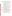#### **Environmental Hazards**

All the environmental fate and ecological effects data requirements are satisfied for sulfur. This ubiquitous substance does not cause unreasonable adverse effects in the environment when used according to approved labeling, and poses little or no hazard to non-target organisms.

#### **Environmental Fate**

In the 1982 Registration Standard, all environmental fate data requirements were waived for sulfur based on the fact that it is a natural component of the environment. The use of elemental sulfur as a pesticide or a soil amendment is not an environmental concern because it becomes incorporated into the natural sulfur cycle.

#### **Ecological Effects**

In six studies on ecological effects (involving bobwhite quail, two fish species, daphnia, mysid shrimp and honey bees), sulfur has been shown to be practically non-toxic to the species tested. Thus, although there is potential for non-target organisms to be exposed to sulfur, little hazard to these species is expected to result.

# **Additional Data Required**

The generic data base supporting the reregistration of products containing sulfur has been reviewed and determined to be complete. No further generic data are required to support reregistration. Some productspecific data are being required, as described in Appendix D to the Reregistration Eligibility Document.

# **Product Labeling Changes Required**

All end-use outdoor sulfur product labels must bear an updated water contamination warning, and a 24-hour reentry statement and protective clothing requirements to protect handlers and field workers from adverse skin and eye effects. Please see the Reregistration Eligibility Document for the exact wording of these required label statements.

# **Regulatory Conclusion**

\* The studies available to EPA indicate that the element sulfur is of low toxicity, and its use as a pesticide poses very little known hazard to people and nontarget species.

\* Sulfur dust can cause eye and skin irritation to people who handle the pesticide or come into contact with treated foliage during field work. Therefore, a 24-hour reentry interval and protective clothing requirements